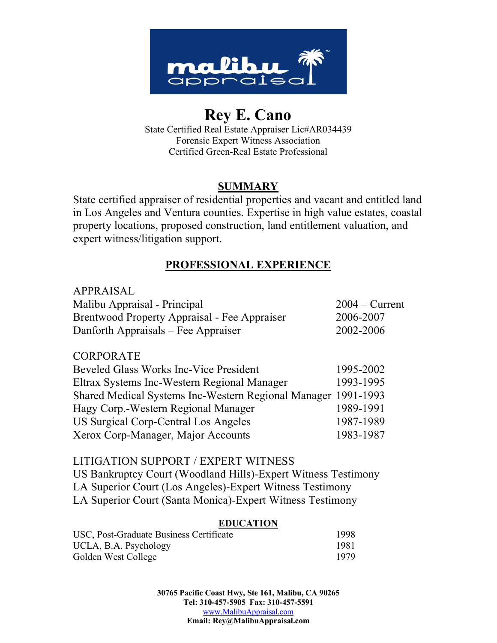

# **Rey E. Cano**

State Certified Real Estate Appraiser Lic#AR034439 Forensic Expert Witness Association Certified Green-Real Estate Professional

# **SUMMARY**

State certified appraiser of residential properties and vacant and entitled land in Los Angeles and Ventura counties. Expertise in high value estates, coastal property locations, proposed construction, land entitlement valuation, and expert witness/litigation support.

# **PROFESSIONAL EXPERIENCE**

| $2004 -$ Current |
|------------------|
| 2006-2007        |
| 2002-2006        |
|                  |

## **CORPORATE**

| Beveled Glass Works Inc-Vice President                        | 1995-2002 |
|---------------------------------------------------------------|-----------|
| Eltrax Systems Inc-Western Regional Manager                   | 1993-1995 |
| Shared Medical Systems Inc-Western Regional Manager 1991-1993 |           |
| Hagy Corp.-Western Regional Manager                           | 1989-1991 |
| US Surgical Corp-Central Los Angeles                          | 1987-1989 |
| Xerox Corp-Manager, Major Accounts                            | 1983-1987 |

## LITIGATION SUPPORT / EXPERT WITNESS

US Bankruptcy Court (Woodland Hills)-Expert Witness Testimony LA Superior Court (Los Angeles)-Expert Witness Testimony LA Superior Court (Santa Monica)-Expert Witness Testimony

### **EDUCATION**

| USC, Post-Graduate Business Certificate | 1998 |
|-----------------------------------------|------|
| UCLA, B.A. Psychology                   | 1981 |
| Golden West College                     | 1979 |

**30765 Pacific Coast Hwy, Ste 161, Malibu, CA 90265 Tel: 310-457-5905 Fax: 310-457-5591** www.MalibuAppraisal.com **Email: Rey@MalibuAppraisal.com**